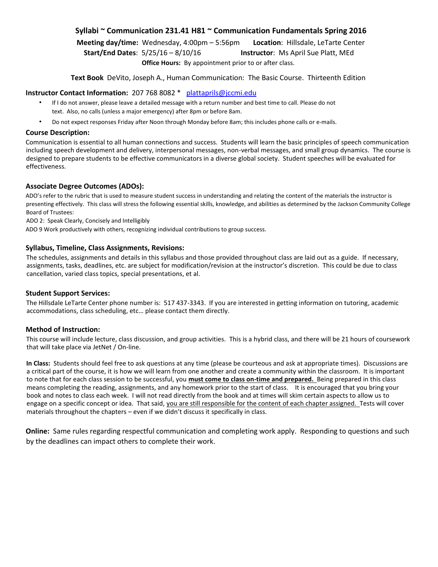# **Syllabi ~ Communication 231.41 H81 ~ Communication Fundamentals Spring 2016**

**Meeting day/time:** Wednesday, 4:00pm – 5:56pm **Location**: Hillsdale, LeTarte Center **Start/End Dates**: 5/25/16 – 8/10/16 **Instructor**: Ms April Sue Platt, MEd

**Office Hours:** By appointment prior to or after class.

**Text Book** DeVito, Joseph A., Human Communication: The Basic Course. Thirteenth Edition

# **Instructor Contact Information:** 207 768 8082 \* plattaprils@jccmi.edu

- If I do not answer, please leave a detailed message with a return number and best time to call. Please do not text. Also, no calls (unless a major emergency) after 8pm or before 8am.
- Do not expect responses Friday after Noon through Monday before 8am; this includes phone calls or e-mails.

#### **Course Description:**

Communication is essential to all human connections and success. Students will learn the basic principles of speech communication including speech development and delivery, interpersonal messages, non-verbal messages, and small group dynamics. The course is designed to prepare students to be effective communicators in a diverse global society. Student speeches will be evaluated for effectiveness.

# **Associate Degree Outcomes (ADOs):**

ADO's refer to the rubric that is used to measure student success in understanding and relating the content of the materials the instructor is presenting effectively. This class will stress the following essential skills, knowledge, and abilities as determined by the Jackson Community College Board of Trustees:

ADO 2: Speak Clearly, Concisely and Intelligibly

ADO 9 Work productively with others, recognizing individual contributions to group success.

# **Syllabus, Timeline, Class Assignments, Revisions:**

The schedules, assignments and details in this syllabus and those provided throughout class are laid out as a guide. If necessary, assignments, tasks, deadlines, etc. are subject for modification/revision at the instructor's discretion. This could be due to class cancellation, varied class topics, special presentations, et al.

# **Student Support Services:**

The Hillsdale LeTarte Center phone number is: 517 437-3343. If you are interested in getting information on tutoring, academic accommodations, class scheduling, etc… please contact them directly.

# **Method of Instruction:**

This course will include lecture, class discussion, and group activities. This is a hybrid class, and there will be 21 hours of coursework that will take place via JetNet / On-line.

**In Class:** Students should feel free to ask questions at any time (please be courteous and ask at appropriate times). Discussions are a critical part of the course, it is how we will learn from one another and create a community within the classroom. It is important to note that for each class session to be successful, you **must come to class on-time and prepared.** Being prepared in this class means completing the reading, assignments, and any homework prior to the start of class. It is encouraged that you bring your book and notes to class each week. I will not read directly from the book and at times will skim certain aspects to allow us to engage on a specific concept or idea. That said, you are still responsible for the content of each chapter assigned. Tests will cover materials throughout the chapters – even if we didn't discuss it specifically in class.

**Online:** Same rules regarding respectful communication and completing work apply. Responding to questions and such by the deadlines can impact others to complete their work.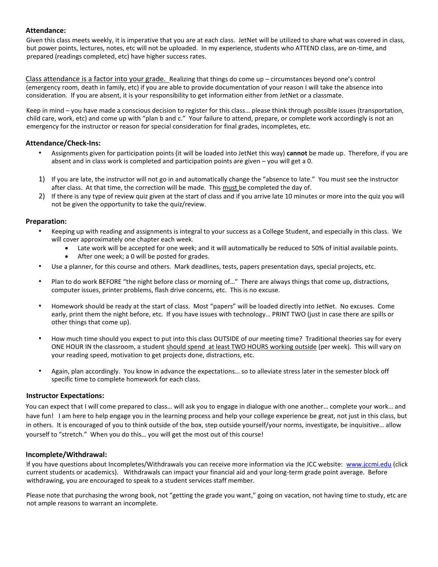# **Attendance:**

Given this class meets weekly, it is imperative that you are at each class. JetNet will be utilized to share what was covered in class, but power points, lectures, notes, etc will not be uploaded. In my experience, students who ATTEND class, are on-time, and prepared (readings completed, etc) have higher success rates.

Class attendance is a factor into your grade. Realizing that things do come up – circumstances beyond one's control (emergency room, death in family, etc) if you are able to provide documentation of your reason I will take the absence into consideration. If you are absent, it is your responsibility to get information either from JetNet or a classmate.

Keep in mind – you have made a conscious decision to register for this class… please think through possible issues (transportation, child care, work, etc) and come up with "plan b and c." Your failure to attend, prepare, or complete work accordingly is not an emergency for the instructor or reason for special consideration for final grades, incompletes, etc.

# **Attendance/Check-Ins:**

- Assignments given for participation points (it will be loaded into JetNet this way) **cannot** be made up. Therefore, if you are absent and in class work is completed and participation points are given – you will get a 0.
- 1) If you are late, the instructor will not go in and automatically change the "absence to late." You must see the instructor after class. At that time, the correction will be made. This must be completed the day of.
- 2) If there is any type of review quiz given at the start of class and if you arrive late 10 minutes or more into the quiz you will not be given the opportunity to take the quiz/review.

# **Preparation:**

- Keeping up with reading and assignments is integral to your success as a College Student, and especially in this class. We will cover approximately one chapter each week.
	- Late work will be accepted for one week; and it will automatically be reduced to 50% of initial available points.
	- After one week; a 0 will be posted for grades.
- Use a planner, for this course and others. Mark deadlines, tests, papers presentation days, special projects, etc.
- Plan to do work BEFORE "the night before class or morning of…" There are always things that come up, distractions, computer issues, printer problems, flash drive concerns, etc. This is no excuse.
- Homework should be ready at the start of class. Most "papers" will be loaded directly into JetNet. No excuses. Come early, print them the night before, etc. If you have issues with technology… PRINT TWO (just in case there are spills or other things that come up).
- How much time should you expect to put into this class OUTSIDE of our meeting time? Traditional theories say for every ONE HOUR IN the classroom, a student should spend at least TWO HOURS working outside (per week). This will vary on your reading speed, motivation to get projects done, distractions, etc.
- Again, plan accordingly. You know in advance the expectations… so to alleviate stress later in the semester block off specific time to complete homework for each class.

# **Instructor Expectations:**

You can expect that I will come prepared to class… will ask you to engage in dialogue with one another… complete your work… and have fun! I am here to help engage you in the learning process and help your college experience be great, not just in this class, but in others. It is encouraged of you to think outside of the box, step outside yourself/your norms, investigate, be inquisitive… allow yourself to "stretch." When you do this… you will get the most out of this course!

# **Incomplete/Withdrawal:**

If you have questions about Incompletes/Withdrawals you can receive more information via the JCC website: [www.jccmi.edu](http://www.jccmi.edu/) (click current students or academics). Withdrawals can impact your financial aid and your long-term grade point average. Before withdrawing, you are encouraged to speak to a student services staff member.

Please note that purchasing the wrong book, not "getting the grade you want," going on vacation, not having time to study, etc are not ample reasons to warrant an incomplete.